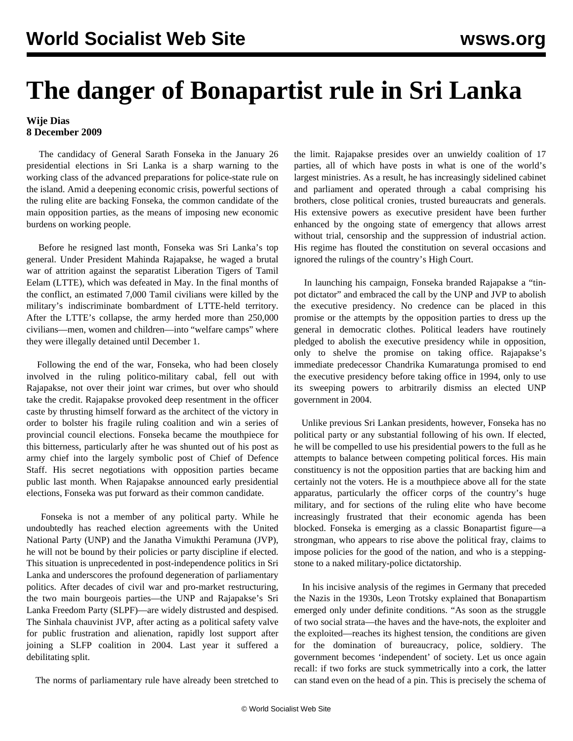## **The danger of Bonapartist rule in Sri Lanka**

## **Wije Dias 8 December 2009**

 The candidacy of General Sarath Fonseka in the January 26 presidential elections in Sri Lanka is a sharp warning to the working class of the advanced preparations for police-state rule on the island. Amid a deepening economic crisis, powerful sections of the ruling elite are backing Fonseka, the common candidate of the main opposition parties, as the means of imposing new economic burdens on working people.

 Before he resigned last month, Fonseka was Sri Lanka's top general. Under President Mahinda Rajapakse, he waged a brutal war of attrition against the separatist Liberation Tigers of Tamil Eelam (LTTE), which was defeated in May. In the final months of the conflict, an estimated 7,000 Tamil civilians were killed by the military's indiscriminate bombardment of LTTE-held territory. After the LTTE's collapse, the army herded more than 250,000 civilians—men, women and children—into "welfare camps" where they were illegally detained until December 1.

 Following the end of the war, Fonseka, who had been closely involved in the ruling politico-military cabal, fell out with Rajapakse, not over their joint war crimes, but over who should take the credit. Rajapakse provoked deep resentment in the officer caste by thrusting himself forward as the architect of the victory in order to bolster his fragile ruling coalition and win a series of provincial council elections. Fonseka became the mouthpiece for this bitterness, particularly after he was shunted out of his post as army chief into the largely symbolic post of Chief of Defence Staff. His secret negotiations with opposition parties became public last month. When Rajapakse announced early presidential elections, Fonseka was put forward as their common candidate.

 Fonseka is not a member of any political party. While he undoubtedly has reached election agreements with the United National Party (UNP) and the Janatha Vimukthi Peramuna (JVP), he will not be bound by their policies or party discipline if elected. This situation is unprecedented in post-independence politics in Sri Lanka and underscores the profound degeneration of parliamentary politics. After decades of civil war and pro-market restructuring, the two main bourgeois parties—the UNP and Rajapakse's Sri Lanka Freedom Party (SLPF)—are widely distrusted and despised. The Sinhala chauvinist JVP, after acting as a political safety valve for public frustration and alienation, rapidly lost support after joining a SLFP coalition in 2004. Last year it suffered a debilitating split.

The norms of parliamentary rule have already been stretched to

the limit. Rajapakse presides over an unwieldy coalition of 17 parties, all of which have posts in what is one of the world's largest ministries. As a result, he has increasingly sidelined cabinet and parliament and operated through a cabal comprising his brothers, close political cronies, trusted bureaucrats and generals. His extensive powers as executive president have been further enhanced by the ongoing state of emergency that allows arrest without trial, censorship and the suppression of industrial action. His regime has flouted the constitution on several occasions and ignored the rulings of the country's High Court.

 In launching his campaign, Fonseka branded Rajapakse a "tinpot dictator" and embraced the call by the UNP and JVP to abolish the executive presidency. No credence can be placed in this promise or the attempts by the opposition parties to dress up the general in democratic clothes. Political leaders have routinely pledged to abolish the executive presidency while in opposition, only to shelve the promise on taking office. Rajapakse's immediate predecessor Chandrika Kumaratunga promised to end the executive presidency before taking office in 1994, only to use its sweeping powers to arbitrarily dismiss an elected UNP government in 2004.

 Unlike previous Sri Lankan presidents, however, Fonseka has no political party or any substantial following of his own. If elected, he will be compelled to use his presidential powers to the full as he attempts to balance between competing political forces. His main constituency is not the opposition parties that are backing him and certainly not the voters. He is a mouthpiece above all for the state apparatus, particularly the officer corps of the country's huge military, and for sections of the ruling elite who have become increasingly frustrated that their economic agenda has been blocked. Fonseka is emerging as a classic Bonapartist figure—a strongman, who appears to rise above the political fray, claims to impose policies for the good of the nation, and who is a steppingstone to a naked military-police dictatorship.

 In his incisive analysis of the regimes in Germany that preceded the Nazis in the 1930s, Leon Trotsky explained that Bonapartism emerged only under definite conditions. "As soon as the struggle of two social strata—the haves and the have-nots, the exploiter and the exploited—reaches its highest tension, the conditions are given for the domination of bureaucracy, police, soldiery. The government becomes 'independent' of society. Let us once again recall: if two forks are stuck symmetrically into a cork, the latter can stand even on the head of a pin. This is precisely the schema of